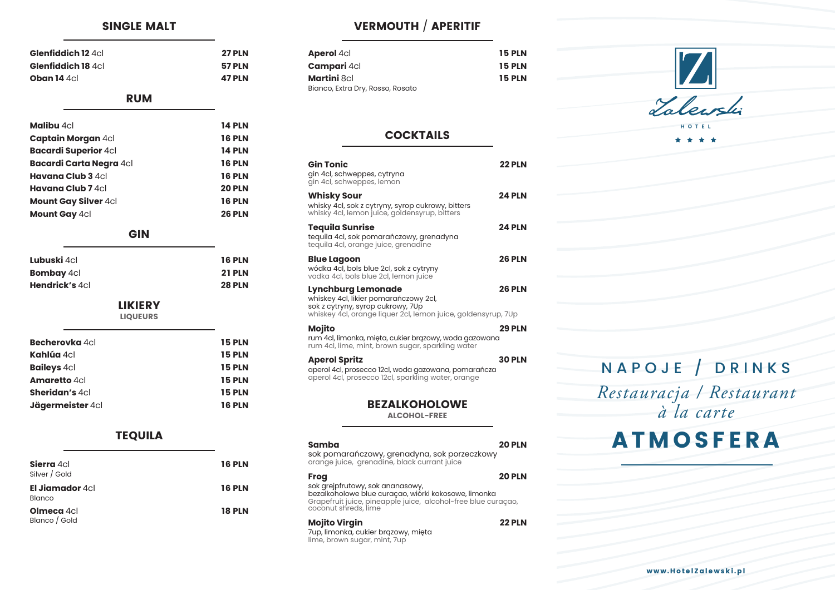www.HotelZalewski.pl

#### SINGLE MALT

| <b>27 PLN</b> |
|---------------|
| <b>57 PLN</b> |
| <b>47 PLN</b> |
|               |

# RUM

| <b>Malibu</b> 4cl           | <b>14 PLN</b> |
|-----------------------------|---------------|
| <b>Captain Morgan 4cl</b>   | <b>16 PLN</b> |
| <b>Bacardi Superior 4cl</b> | <b>14 PLN</b> |
| Bacardi Carta Negra 4cl     | <b>16 PLN</b> |
| <b>Havana Club 3 4cl</b>    | <b>16 PLN</b> |
| <b>Havana Club 7</b> 4cl    | <b>20 PLN</b> |
| <b>Mount Gay Silver 4cl</b> | <b>16 PLN</b> |
| <b>Mount Gay 4cl</b>        | <b>26 PLN</b> |
|                             |               |

### GIN

| <b>16 PLN</b> |
|---------------|
| <b>21 PLN</b> |
| <b>28 PLN</b> |
|               |

LIKIERY

LIQUEURS

| <b>Becherovka</b> 4cl | <b>15 PLN</b> |
|-----------------------|---------------|
| <b>Kahlúa</b> 4cl     | <b>15 PLN</b> |
| <b>Baileys 4cl</b>    | <b>15 PLN</b> |
| <b>Amaretto 4cl</b>   | <b>15 PLN</b> |
| <b>Sheridan's 4cl</b> | <b>15 PLN</b> |
| Jägermeister 4cl      | <b>16 PLN</b> |

## TEQUILA

| Sierra 4cl<br>Silver / Gold             | <b>16 PLN</b> |
|-----------------------------------------|---------------|
| El <b>Jiamador</b> 4cl<br><b>Blanco</b> | <b>16 PLN</b> |
| <b>Olmeca</b> 4cl<br>Blanco / Gold      | <b>18 PLN</b> |

# VERMOUTH / APERITIF

| <b>Aperol 4cl</b>                | <b>15 PLN</b> |
|----------------------------------|---------------|
| <b>Campari</b> 4cl               | <b>15 PLN</b> |
| <b>Martini</b> 8cl               | <b>15 PLN</b> |
| Bianco, Extra Dry, Rosso, Rosato |               |

# **COCKTAILS**

| <b>Gin Tonic</b><br>gin 4cl, schweppes, cytryna<br>gin 4cl, schweppes, lemon                                                                                             | <b>22 PLN</b> |
|--------------------------------------------------------------------------------------------------------------------------------------------------------------------------|---------------|
| <b>Whisky Sour</b><br>whisky 4cl, sok z cytryny, syrop cukrowy, bitters<br>whisky 4cl, lemon juice, goldensyrup, bitters                                                 | <b>24 PLN</b> |
| <b>Tequila Sunrise</b><br>tequila 4cl, sok pomarańczowy, grenadyna<br>tequila 4cl, orange juice, grenadine                                                               | <b>24 PLN</b> |
| <b>Blue Lagoon</b><br>wódka 4cl, bols blue 2cl, sok z cytryny<br>vodka 4cl, bols blue 2cl, lemon juice                                                                   | <b>26 PLN</b> |
| <b>Lynchburg Lemonade</b><br>whiskey 4cl, likier pomarańczowy 2cl,<br>sok z cytryny, syrop cukrowy, 7Up<br>whiskey 4cl, orange liquer 2cl, lemon juice, goldensyrup, 7Up | <b>26 PLN</b> |
| <b>Mojito</b><br>rum 4cl, limonka, mięta, cukier brązowy, woda gazowana<br>rum 4cl, lime, mint, brown sugar, sparkling water                                             | <b>29 PLN</b> |
| <b>Aperol Spritz</b><br>aperol 4cl, prosecco 12cl, woda gazowana, pomarańcza<br>aperol 4cl, prosecco 12cl, sparkling water, orange                                       | <b>30 PLN</b> |
| <b>BEZALKOHOLOWE</b><br><b>ALCOHOL-FREE</b>                                                                                                                              |               |
| Samba<br>sok pomarańczowy, grenadyna, sok porzeczkowy<br>orange juice, grenadine, black currant juice                                                                    | <b>20 PLN</b> |
| <b>Frog</b><br>sok grejpfrutowy, sok ananasowy,                                                                                                                          | <b>20 PLN</b> |

bezalkoholowe blue curaçao, wiórki kokosowe, limonka Grapefruit juice, pineapple juice, alcohol-free blue curaçao, coconut shreds, lime

### **Mojito Virgin 22 PLN**

7up, limonka, cukier brązowy, mięta lime, brown sugar, mint, 7up

|  | A |  |
|--|---|--|
|  |   |  |
|  |   |  |
|  |   |  |
|  |   |  |
|  |   |  |
|  |   |  |
|  |   |  |
|  |   |  |
|  |   |  |



# NAPOJE / DRINKS

# *Restauracja / Restaurant à la carte*

# **TMOSFERA**